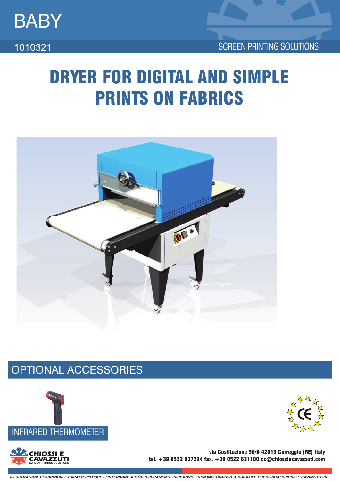

1010321

# DRYER FOR DIGITAL AND SIMPLE PRINTS ON FABRICS



## OPTIONAL ACCESSORIES



**HIOSSI E** 



via Costituzione 50/D 42015 Correggio (RE) Italy tel. +39 0522 637224 fax. +39 0522 631180 cc@chiossiecavazzuti.com

ILLUSTRAZIONI, DESCRIZIONI E CARATTERISTICHE SI INTENDONO A TITOLO PURAMENTE INDICATIVO E NON IMPEGNATIVO, A CURA UFE PUBBLICITA' CHIOSSI E CAVAZZUTI SRL